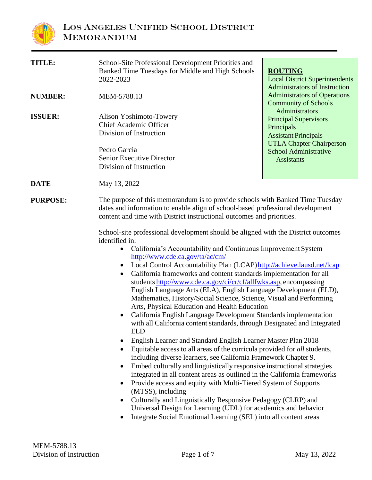

| TITLE:          | School-Site Professional Development Priorities and<br>Banked Time Tuesdays for Middle and High Schools<br>2022-2023                                                                                                                                                                                                                                                                                                                                                                                                                                                                                                                                                                                                                                                                                                                                                                                                                                                                                                                                                                                                                                                                                                                                                                                                                                                                                                                                                                                                                                                                                                                                               | <b>ROUTING</b><br><b>Local District Superintendents</b><br><b>Administrators of Instruction</b>                                                                                                                                                           |  |
|-----------------|--------------------------------------------------------------------------------------------------------------------------------------------------------------------------------------------------------------------------------------------------------------------------------------------------------------------------------------------------------------------------------------------------------------------------------------------------------------------------------------------------------------------------------------------------------------------------------------------------------------------------------------------------------------------------------------------------------------------------------------------------------------------------------------------------------------------------------------------------------------------------------------------------------------------------------------------------------------------------------------------------------------------------------------------------------------------------------------------------------------------------------------------------------------------------------------------------------------------------------------------------------------------------------------------------------------------------------------------------------------------------------------------------------------------------------------------------------------------------------------------------------------------------------------------------------------------------------------------------------------------------------------------------------------------|-----------------------------------------------------------------------------------------------------------------------------------------------------------------------------------------------------------------------------------------------------------|--|
| <b>NUMBER:</b>  | MEM-5788.13                                                                                                                                                                                                                                                                                                                                                                                                                                                                                                                                                                                                                                                                                                                                                                                                                                                                                                                                                                                                                                                                                                                                                                                                                                                                                                                                                                                                                                                                                                                                                                                                                                                        | <b>Administrators of Operations</b><br><b>Community of Schools</b><br>Administrators<br><b>Principal Supervisors</b><br>Principals<br><b>Assistant Principals</b><br><b>UTLA Chapter Chairperson</b><br><b>School Administrative</b><br><b>Assistants</b> |  |
| <b>ISSUER:</b>  | Alison Yoshimoto-Towery<br><b>Chief Academic Officer</b><br>Division of Instruction<br>Pedro Garcia<br><b>Senior Executive Director</b><br>Division of Instruction                                                                                                                                                                                                                                                                                                                                                                                                                                                                                                                                                                                                                                                                                                                                                                                                                                                                                                                                                                                                                                                                                                                                                                                                                                                                                                                                                                                                                                                                                                 |                                                                                                                                                                                                                                                           |  |
| <b>DATE</b>     | May 13, 2022                                                                                                                                                                                                                                                                                                                                                                                                                                                                                                                                                                                                                                                                                                                                                                                                                                                                                                                                                                                                                                                                                                                                                                                                                                                                                                                                                                                                                                                                                                                                                                                                                                                       |                                                                                                                                                                                                                                                           |  |
| <b>PURPOSE:</b> | The purpose of this memorandum is to provide schools with Banked Time Tuesday<br>dates and information to enable align of school-based professional development<br>content and time with District instructional outcomes and priorities.<br>School-site professional development should be aligned with the District outcomes<br>identified in:<br>California's Accountability and Continuous Improvement System<br>$\bullet$<br>http://www.cde.ca.gov/ta/ac/cm/<br>Local Control Accountability Plan (LCAP) http://achieve.lausd.net/lcap<br>$\bullet$<br>California frameworks and content standards implementation for all<br>٠<br>students http://www.cde.ca.gov/ci/cr/cf/allfwks.asp, encompassing<br>English Language Arts (ELA), English Language Development (ELD),<br>Mathematics, History/Social Science, Science, Visual and Performing<br>Arts, Physical Education and Health Education<br>California English Language Development Standards implementation<br>with all California content standards, through Designated and Integrated<br><b>ELD</b><br>English Learner and Standard English Learner Master Plan 2018<br>Equitable access to all areas of the curricula provided for all students,<br>including diverse learners, see California Framework Chapter 9.<br>Embed culturally and linguistically responsive instructional strategies<br>integrated in all content areas as outlined in the California frameworks<br>Provide access and equity with Multi-Tiered System of Supports<br>(MTSS), including<br>Culturally and Linguistically Responsive Pedagogy (CLRP) and<br>Universal Design for Learning (UDL) for academics and behavior |                                                                                                                                                                                                                                                           |  |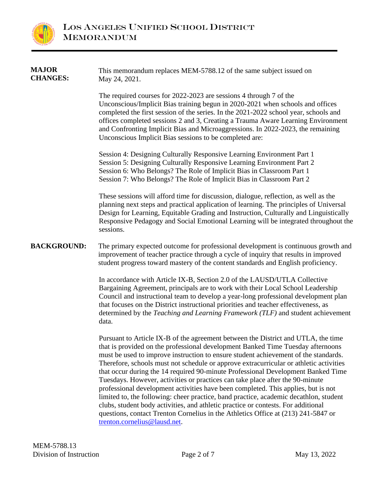

| <b>MAJOR</b><br><b>CHANGES:</b> | This memorandum replaces MEM-5788.12 of the same subject issued on<br>May 24, 2021.                                                                                                                                                                                                                                                                                                                                                                                                                                                                                                                                                                                                                                                                                                                                                                                                                                |
|---------------------------------|--------------------------------------------------------------------------------------------------------------------------------------------------------------------------------------------------------------------------------------------------------------------------------------------------------------------------------------------------------------------------------------------------------------------------------------------------------------------------------------------------------------------------------------------------------------------------------------------------------------------------------------------------------------------------------------------------------------------------------------------------------------------------------------------------------------------------------------------------------------------------------------------------------------------|
|                                 | The required courses for 2022-2023 are sessions 4 through 7 of the<br>Unconscious/Implicit Bias training begun in 2020-2021 when schools and offices<br>completed the first session of the series. In the 2021-2022 school year, schools and<br>offices completed sessions 2 and 3, Creating a Trauma Aware Learning Environment<br>and Confronting Implicit Bias and Microaggressions. In 2022-2023, the remaining<br>Unconscious Implicit Bias sessions to be completed are:                                                                                                                                                                                                                                                                                                                                                                                                                                     |
|                                 | Session 4: Designing Culturally Responsive Learning Environment Part 1<br>Session 5: Designing Culturally Responsive Learning Environment Part 2<br>Session 6: Who Belongs? The Role of Implicit Bias in Classroom Part 1<br>Session 7: Who Belongs? The Role of Implicit Bias in Classroom Part 2                                                                                                                                                                                                                                                                                                                                                                                                                                                                                                                                                                                                                 |
|                                 | These sessions will afford time for discussion, dialogue, reflection, as well as the<br>planning next steps and practical application of learning. The principles of Universal<br>Design for Learning, Equitable Grading and Instruction, Culturally and Linguistically<br>Responsive Pedagogy and Social Emotional Learning will be integrated throughout the<br>sessions.                                                                                                                                                                                                                                                                                                                                                                                                                                                                                                                                        |
| <b>BACKGROUND:</b>              | The primary expected outcome for professional development is continuous growth and<br>improvement of teacher practice through a cycle of inquiry that results in improved<br>student progress toward mastery of the content standards and English proficiency.                                                                                                                                                                                                                                                                                                                                                                                                                                                                                                                                                                                                                                                     |
|                                 | In accordance with Article IX-B, Section 2.0 of the LAUSD/UTLA Collective<br>Bargaining Agreement, principals are to work with their Local School Leadership<br>Council and instructional team to develop a year-long professional development plan<br>that focuses on the District instructional priorities and teacher effectiveness, as<br>determined by the Teaching and Learning Framework (TLF) and student achievement<br>data.                                                                                                                                                                                                                                                                                                                                                                                                                                                                             |
|                                 | Pursuant to Article IX-B of the agreement between the District and UTLA, the time<br>that is provided on the professional development Banked Time Tuesday afternoons<br>must be used to improve instruction to ensure student achievement of the standards.<br>Therefore, schools must not schedule or approve extracurricular or athletic activities<br>that occur during the 14 required 90-minute Professional Development Banked Time<br>Tuesdays. However, activities or practices can take place after the 90-minute<br>professional development activities have been completed. This applies, but is not<br>limited to, the following: cheer practice, band practice, academic decathlon, student<br>clubs, student body activities, and athletic practice or contests. For additional<br>questions, contact Trenton Cornelius in the Athletics Office at (213) 241-5847 or<br>trenton.cornelius@lausd.net. |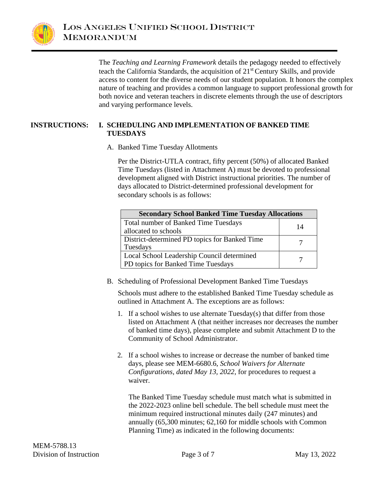

The *Teaching and Learning Framework* details the pedagogy needed to effectively teach the California Standards, the acquisition of 21st Century Skills, and provide access to content for the diverse needs of our student population. It honors the complex nature of teaching and provides a common language to support professional growth for both novice and veteran teachers in discrete elements through the use of descriptors and varying performance levels.

#### **INSTRUCTIONS: I. SCHEDULING AND IMPLEMENTATION OF BANKED TIME TUESDAYS**

A. Banked Time Tuesday Allotments

Per the District-UTLA contract, fifty percent (50%) of allocated Banked Time Tuesdays (listed in Attachment A) must be devoted to professional development aligned with District instructional priorities. The number of days allocated to District-determined professional development for secondary schools is as follows:

| <b>Secondary School Banked Time Tuesday Allocations</b> |    |  |
|---------------------------------------------------------|----|--|
| <b>Total number of Banked Time Tuesdays</b>             | 14 |  |
| allocated to schools                                    |    |  |
| District-determined PD topics for Banked Time           |    |  |
| Tuesdays                                                |    |  |
| Local School Leadership Council determined              |    |  |
| PD topics for Banked Time Tuesdays                      |    |  |

B. Scheduling of Professional Development Banked Time Tuesdays

Schools must adhere to the established Banked Time Tuesday schedule as outlined in Attachment A. The exceptions are as follows:

- 1. If a school wishes to use alternate Tuesday(s) that differ from those listed on Attachment A (that neither increases nor decreases the number of banked time days), please complete and submit Attachment D to the Community of School Administrator.
- 2. If a school wishes to increase or decrease the number of banked time days, please see MEM-6680.6, *School Waivers for Alternate Configurations*, *dated May 13, 2022*, for procedures to request a waiver.

The Banked Time Tuesday schedule must match what is submitted in the 2022-2023 online bell schedule. The bell schedule must meet the minimum required instructional minutes daily (247 minutes) and annually (65,300 minutes; 62,160 for middle schools with Common Planning Time) as indicated in the following documents: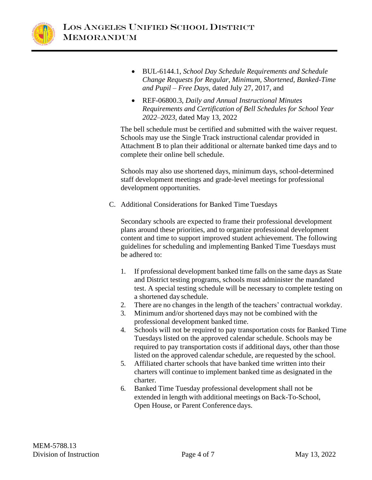

- BUL-6144.1, *School Day Schedule Requirements and Schedule Change Requests for Regular, Minimum, Shortened, Banked-Time and Pupil – Free Days,* dated July 27, 2017, and
- REF-06800.3, *Daily and Annual Instructional Minutes Requirements and Certification of Bell Schedules for School Year 2022–2023,* dated May 13, 2022

The bell schedule must be certified and submitted with the waiver request. Schools may use the Single Track instructional calendar provided in Attachment B to plan their additional or alternate banked time days and to complete their online bell schedule.

Schools may also use shortened days, minimum days, school-determined staff development meetings and grade-level meetings for professional development opportunities.

C. Additional Considerations for Banked Time Tuesdays

Secondary schools are expected to frame their professional development plans around these priorities, and to organize professional development content and time to support improved student achievement. The following guidelines for scheduling and implementing Banked Time Tuesdays must be adhered to:

- 1. If professional development banked time falls on the same days as State and District testing programs, schools must administer the mandated test. A special testing schedule will be necessary to complete testing on a shortened day schedule.
- 2. There are no changes in the length of the teachers' contractual workday.
- 3. Minimum and/or shortened days may not be combined with the professional development banked time.
- 4. Schools will not be required to pay transportation costs for Banked Time Tuesdays listed on the approved calendar schedule. Schools may be required to pay transportation costs if additional days, other than those listed on the approved calendar schedule, are requested by the school.
- 5. Affiliated charter schools that have banked time written into their charters will continue to implement banked time as designated in the charter.
- 6. Banked Time Tuesday professional development shall not be extended in length with additional meetings on Back-To-School, Open House, or Parent Conference days.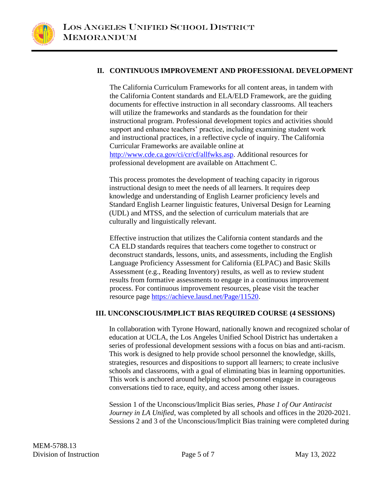

#### **II. CONTINUOUS IMPROVEMENT AND PROFESSIONAL DEVELOPMENT**

The California Curriculum Frameworks for all content areas, in tandem with the California Content standards and ELA/ELD Framework, are the guiding documents for effective instruction in all secondary classrooms. All teachers will utilize the frameworks and standards as the foundation for their instructional program. Professional development topics and activities should support and enhance teachers' practice, including examining student work and instructional practices, in a reflective cycle of inquiry. The California Curricular Frameworks are available online at [http://www.cde.ca.gov/ci/cr/cf/allfwks.asp.](http://www.cde.ca.gov/ci/cr/cf/allfwks.asp) Additional resources for professional development are available on Attachment C.

This process promotes the development of teaching capacity in rigorous instructional design to meet the needs of all learners. It requires deep knowledge and understanding of English Learner proficiency levels and Standard English Learner linguistic features, Universal Design for Learning (UDL) and MTSS, and the selection of curriculum materials that are culturally and linguistically relevant.

Effective instruction that utilizes the California content standards and the CA ELD standards requires that teachers come together to construct or deconstruct standards, lessons, units, and assessments, including the English Language Proficiency Assessment for California (ELPAC) and Basic Skills Assessment (e.g., Reading Inventory) results, as well as to review student results from formative assessments to engage in a continuous improvement process. For continuous improvement resources, please visit the teacher resource page [https://achieve.lausd.net/Page/11520.](https://achieve.lausd.net/Page/11520)

#### **III. UNCONSCIOUS/IMPLICT BIAS REQUIRED COURSE (4 SESSIONS)**

In collaboration with Tyrone Howard, nationally known and recognized scholar of education at UCLA, the Los Angeles Unified School District has undertaken a series of professional development sessions with a focus on bias and anti-racism. This work is designed to help provide school personnel the knowledge, skills, strategies, resources and dispositions to support all learners; to create inclusive schools and classrooms, with a goal of eliminating bias in learning opportunities. This work is anchored around helping school personnel engage in courageous conversations tied to race, equity, and access among other issues.

Session 1 of the Unconscious/Implicit Bias series, *Phase 1 of Our Antiracist Journey in LA Unified*, was completed by all schools and offices in the 2020-2021. Sessions 2 and 3 of the Unconscious/Implicit Bias training were completed during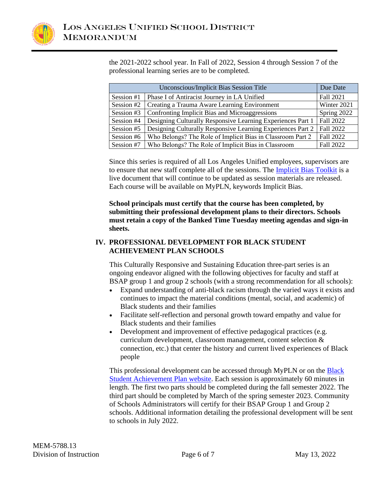

the 2021-2022 school year. In Fall of 2022, Session 4 through Session 7 of the professional learning series are to be completed.

| Unconscious/Implicit Bias Session Title |                                                             | Due Date         |
|-----------------------------------------|-------------------------------------------------------------|------------------|
| Session #1                              | Phase I of Antiracist Journey in LA Unified                 | <b>Fall 2021</b> |
| Session #2                              | Creating a Trauma Aware Learning Environment                | Winter 2021      |
| Session #3                              | Confronting Implicit Bias and Microaggressions              | Spring 2022      |
| Session #4                              | Designing Culturally Responsive Learning Experiences Part 1 | Fall 2022        |
| Session #5                              | Designing Culturally Responsive Learning Experiences Part 2 | Fall 2022        |
| Session #6                              | Who Belongs? The Role of Implicit Bias in Classroom Part 2  | Fall 2022        |
| Session #7                              | Who Belongs? The Role of Implicit Bias in Classroom         | Fall 2022        |

Since this series is required of all Los Angeles Unified employees, supervisors are to ensure that new staff complete all of the sessions. The [Implicit Bias Toolkit](https://docs.google.com/presentation/d/1g6Ne6d-ELjCy7EslVKqbjTWqzvXSoiDXLrhHiQD5s84/edit?usp=sharing) is a live document that will continue to be updated as session materials are released. Each course will be available on MyPLN, keywords Implicit Bias.

**School principals must certify that the course has been completed, by submitting their professional development plans to their directors. Schools must retain a copy of the Banked Time Tuesday meeting agendas and sign-in sheets.**

## **IV. PROFESSIONAL DEVELOPMENT FOR BLACK STUDENT ACHIEVEMENT PLAN SCHOOLS**

This Culturally Responsive and Sustaining Education three-part series is an ongoing endeavor aligned with the following objectives for faculty and staff at BSAP group 1 and group 2 schools (with a strong recommendation for all schools):

- Expand understanding of anti-black racism through the varied ways it exists and continues to impact the material conditions (mental, social, and academic) of Black students and their families
- Facilitate self-reflection and personal growth toward empathy and value for Black students and their families
- Development and improvement of effective pedagogical practices (e.g. curriculum development, classroom management, content selection & connection, etc.) that center the history and current lived experiences of Black people

This professional development can be accessed through MyPLN or on the [Black](https://achieve.lausd.net/bsa)  [Student Achievement Plan website.](https://achieve.lausd.net/bsa) Each session is approximately 60 minutes in length. The first two parts should be completed during the fall semester 2022. The third part should be completed by March of the spring semester 2023. Community of Schools Administrators will certify for their BSAP Group 1 and Group 2 schools. Additional information detailing the professional development will be sent to schools in July 2022.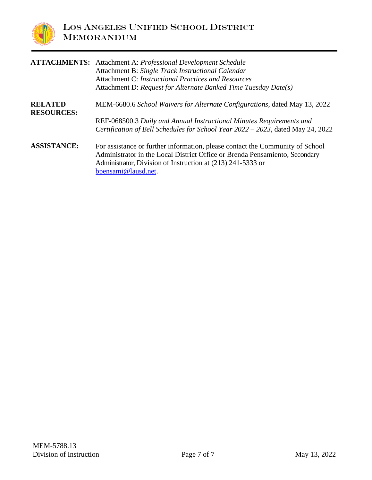

| <b>ATTACHMENTS:</b>                 | Attachment A: Professional Development Schedule<br>Attachment B: Single Track Instructional Calendar<br><b>Attachment C: Instructional Practices and Resources</b><br>Attachment D: Request for Alternate Banked Time Tuesday Date(s)              |
|-------------------------------------|----------------------------------------------------------------------------------------------------------------------------------------------------------------------------------------------------------------------------------------------------|
| <b>RELATED</b><br><b>RESOURCES:</b> | MEM-6680.6 School Waivers for Alternate Configurations, dated May 13, 2022                                                                                                                                                                         |
|                                     | REF-068500.3 Daily and Annual Instructional Minutes Requirements and<br>Certification of Bell Schedules for School Year 2022 - 2023, dated May 24, 2022                                                                                            |
| <b>ASSISTANCE:</b>                  | For assistance or further information, please contact the Community of School<br>Administrator in the Local District Office or Brenda Pensamiento, Secondary<br>Administrator, Division of Instruction at (213) 241-5333 or<br>bpensami@lausd.net. |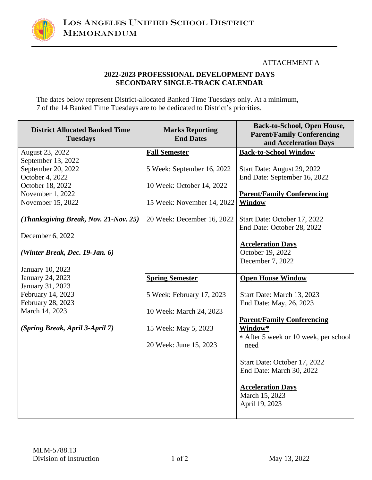

### ATTACHMENT A

### **2022-2023 PROFESSIONAL DEVELOPMENT DAYS SECONDARY SINGLE-TRACK CALENDAR**

The dates below represent District-allocated Banked Time Tuesdays only. At a minimum, 7 of the 14 Banked Time Tuesdays are to be dedicated to District's priorities.

| <b>District Allocated Banked Time</b><br><b>Tuesdays</b>  | <b>Marks Reporting</b><br><b>End Dates</b> | <b>Back-to-School, Open House,</b><br><b>Parent/Family Conferencing</b><br>and Acceleration Days |
|-----------------------------------------------------------|--------------------------------------------|--------------------------------------------------------------------------------------------------|
| August 23, 2022                                           | <b>Fall Semester</b>                       | <b>Back-to-School Window</b>                                                                     |
| September 13, 2022                                        |                                            |                                                                                                  |
| September 20, 2022                                        | 5 Week: September 16, 2022                 | Start Date: August 29, 2022                                                                      |
| October 4, 2022                                           |                                            | End Date: September 16, 2022                                                                     |
| October 18, 2022                                          | 10 Week: October 14, 2022                  |                                                                                                  |
| November 1, 2022                                          |                                            | <b>Parent/Family Conferencing</b>                                                                |
| November 15, 2022                                         | 15 Week: November 14, 2022                 | Window                                                                                           |
| (Thanksgiving Break, Nov. 21-Nov. 25)<br>December 6, 2022 | 20 Week: December 16, 2022                 | Start Date: October 17, 2022<br>End Date: October 28, 2022                                       |
|                                                           |                                            | <b>Acceleration Days</b>                                                                         |
| (Winter Break, Dec. 19-Jan. 6)                            |                                            | October 19, 2022                                                                                 |
|                                                           |                                            | December 7, 2022                                                                                 |
| January 10, 2023                                          |                                            |                                                                                                  |
| January 24, 2023                                          | <b>Spring Semester</b>                     | <b>Open House Window</b>                                                                         |
| January 31, 2023                                          |                                            |                                                                                                  |
| February 14, 2023                                         | 5 Week: February 17, 2023                  | Start Date: March 13, 2023                                                                       |
| February 28, 2023                                         |                                            | End Date: May, 26, 2023                                                                          |
| March 14, 2023                                            | 10 Week: March 24, 2023                    |                                                                                                  |
|                                                           |                                            | <b>Parent/Family Conferencing</b>                                                                |
| (Spring Break, April 3-April 7)                           | 15 Week: May 5, 2023                       | Window*                                                                                          |
|                                                           |                                            | * After 5 week or 10 week, per school                                                            |
|                                                           | 20 Week: June 15, 2023                     | need                                                                                             |
|                                                           |                                            |                                                                                                  |
|                                                           |                                            | Start Date: October 17, 2022                                                                     |
|                                                           |                                            | End Date: March 30, 2022                                                                         |
|                                                           |                                            |                                                                                                  |
|                                                           |                                            | <b>Acceleration Days</b>                                                                         |
|                                                           |                                            | March 15, 2023                                                                                   |
|                                                           |                                            | April 19, 2023                                                                                   |
|                                                           |                                            |                                                                                                  |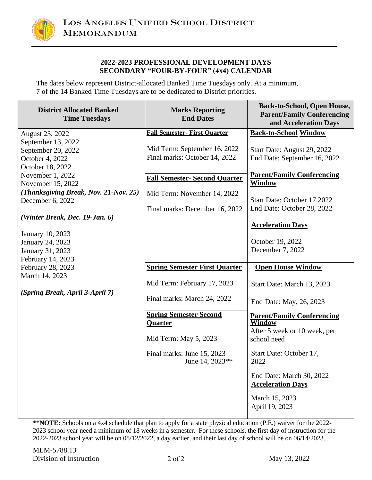

#### **2022-2023 PROFESSIONAL DEVELOPMENT DAYS SECONDARY "FOUR-BY-FOUR" (4x4) CALENDAR**

The dates below represent District-allocated Banked Time Tuesdays only. At a minimum, 7 of the 14 Banked Time Tuesdays are to be dedicated to District priorities.

| <b>District Allocated Banked</b><br><b>Time Tuesdays</b> | <b>Marks Reporting</b><br><b>End Dates</b>      | <b>Back-to-School, Open House,</b><br><b>Parent/Family Conferencing</b><br>and Acceleration Days |
|----------------------------------------------------------|-------------------------------------------------|--------------------------------------------------------------------------------------------------|
| August 23, 2022                                          | <b>Fall Semester- First Ouarter</b>             | <b>Back-to-School Window</b>                                                                     |
| September 13, 2022                                       |                                                 |                                                                                                  |
| September 20, 2022                                       | Mid Term: September 16, 2022                    | Start Date: August 29, 2022                                                                      |
| October 4, 2022                                          | Final marks: October 14, 2022                   | End Date: September 16, 2022                                                                     |
| October 18, 2022                                         |                                                 |                                                                                                  |
| November 1, 2022                                         | <b>Fall Semester- Second Ouarter</b>            | <b>Parent/Family Conferencing</b>                                                                |
| November 15, 2022                                        |                                                 | <b>Window</b>                                                                                    |
| (Thanksgiving Break, Nov. 21-Nov. 25)                    | Mid Term: November 14, 2022                     |                                                                                                  |
| December 6, 2022                                         |                                                 | Start Date: October 17,2022                                                                      |
|                                                          | Final marks: December 16, 2022                  | End Date: October 28, 2022                                                                       |
| (Winter Break, Dec. 19-Jan. 6)                           |                                                 | <b>Acceleration Days</b>                                                                         |
| January 10, 2023                                         |                                                 |                                                                                                  |
| January 24, 2023                                         |                                                 | October 19, 2022                                                                                 |
| January 31, 2023                                         |                                                 | December 7, 2022                                                                                 |
| February 14, 2023                                        |                                                 |                                                                                                  |
| February 28, 2023                                        | <b>Spring Semester First Ouarter</b>            | <b>Open House Window</b>                                                                         |
| March 14, 2023                                           |                                                 |                                                                                                  |
|                                                          | Mid Term: February 17, 2023                     | Start Date: March 13, 2023                                                                       |
| (Spring Break, April 3-April 7)                          |                                                 |                                                                                                  |
|                                                          | Final marks: March 24, 2022                     | End Date: May, 26, 2023                                                                          |
|                                                          |                                                 |                                                                                                  |
|                                                          | <b>Spring Semester Second</b><br><b>Ouarter</b> | <b>Parent/Family Conferencing</b><br><b>Window</b>                                               |
|                                                          |                                                 | After 5 week or 10 week, per                                                                     |
|                                                          | Mid Term: May 5, 2023                           | school need                                                                                      |
|                                                          |                                                 |                                                                                                  |
|                                                          | Final marks: June 15, 2023                      | Start Date: October 17,                                                                          |
|                                                          | June 14, 2023**                                 | 2022                                                                                             |
|                                                          |                                                 | End Date: March 30, 2022                                                                         |
|                                                          |                                                 | <b>Acceleration Days</b>                                                                         |
|                                                          |                                                 |                                                                                                  |
|                                                          |                                                 | March 15, 2023                                                                                   |
|                                                          |                                                 | April 19, 2023                                                                                   |
|                                                          |                                                 |                                                                                                  |

\*\***NOTE:** Schools on a 4x4 schedule that plan to apply for a state physical education (P.E.) waiver for the 2022- 2023 school year need a minimum of 18 weeks in a semester. For these schools, the first day of instruction for the 2022-2023 school year will be on 08/12/2022, a day earlier, and their last day of school will be on 06/14/2023.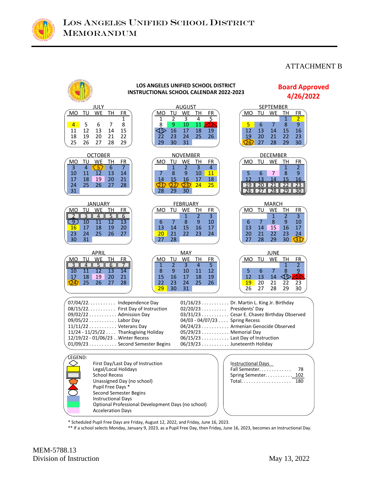

### ATTACHMENT B



\* Scheduled Pupil Free Days are Friday, August 12, 2022, and Friday, June 16, 2023.

\*\* If a school selects Monday, January 9, 2023, as a Pupil Free Day, then Friday, June 16, 2023, becomes an Instructional Day.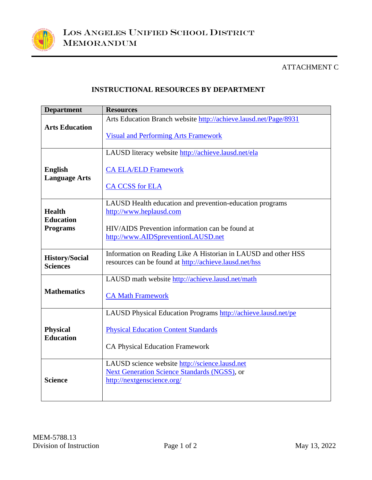

# ATTACHMENT C

# **INSTRUCTIONAL RESOURCES BY DEPARTMENT**

| <b>Department</b>                                    | <b>Resources</b>                                                                                                                                                             |
|------------------------------------------------------|------------------------------------------------------------------------------------------------------------------------------------------------------------------------------|
| <b>Arts Education</b>                                | Arts Education Branch website http://achieve.lausd.net/Page/8931<br><b>Visual and Performing Arts Framework</b>                                                              |
| <b>English</b><br><b>Language Arts</b>               | LAUSD literacy website http://achieve.lausd.net/ela<br><b>CA ELA/ELD Framework</b><br><b>CA CCSS</b> for ELA                                                                 |
| <b>Health</b><br><b>Education</b><br><b>Programs</b> | LAUSD Health education and prevention-education programs<br>http://www.heplausd.com<br>HIV/AIDS Prevention information can be found at<br>http://www.AIDSpreventionLAUSD.net |
| <b>History/Social</b><br><b>Sciences</b>             | Information on Reading Like A Historian in LAUSD and other HSS<br>resources can be found at http://achieve.lausd.net/hss                                                     |
| <b>Mathematics</b>                                   | LAUSD math website http://achieve.lausd.net/math<br><b>CA Math Framework</b>                                                                                                 |
| <b>Physical</b><br><b>Education</b>                  | LAUSD Physical Education Programs http://achieve.lausd.net/pe<br><b>Physical Education Content Standards</b><br><b>CA Physical Education Framework</b>                       |
| <b>Science</b>                                       | LAUSD science website http://science.lausd.net<br>Next Generation Science Standards (NGSS), or<br>http://nextgenscience.org/                                                 |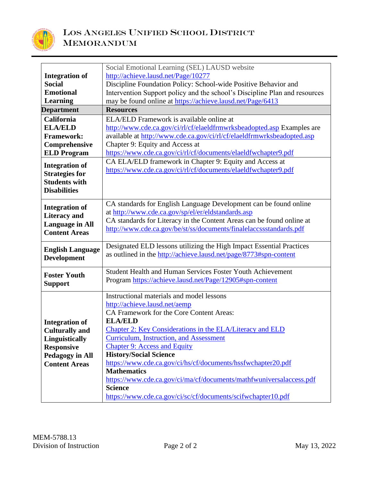

|                                                | Social Emotional Learning (SEL) LAUSD website                              |  |
|------------------------------------------------|----------------------------------------------------------------------------|--|
| <b>Integration of</b>                          | http://achieve.lausd.net/Page/10277                                        |  |
| <b>Social</b>                                  | Discipline Foundation Policy: School-wide Positive Behavior and            |  |
| <b>Emotional</b>                               | Intervention Support policy and the school's Discipline Plan and resources |  |
| <b>Learning</b>                                | may be found online at https://achieve.lausd.net/Page/6413                 |  |
| <b>Department</b>                              | <b>Resources</b>                                                           |  |
| California                                     | ELA/ELD Framework is available online at                                   |  |
| <b>ELA/ELD</b>                                 | http://www.cde.ca.gov/ci/rl/cf/elaeldfrmwrksbeadopted.asp Examples are     |  |
| <b>Framework:</b>                              | available at http://www.cde.ca.gov/ci/rl/cf/elaeldfrmwrksbeadopted.asp     |  |
| Comprehensive                                  | Chapter 9: Equity and Access at                                            |  |
| <b>ELD Program</b>                             | https://www.cde.ca.gov/ci/rl/cf/documents/elaeldfwchapter9.pdf             |  |
|                                                | CA ELA/ELD framework in Chapter 9: Equity and Access at                    |  |
| <b>Integration of</b>                          | https://www.cde.ca.gov/ci/rl/cf/documents/elaeldfwchapter9.pdf             |  |
| <b>Strategies for</b>                          |                                                                            |  |
| <b>Students with</b><br><b>Disabilities</b>    |                                                                            |  |
|                                                |                                                                            |  |
| <b>Integration of</b>                          | CA standards for English Language Development can be found online          |  |
|                                                | at http://www.cde.ca.gov/sp/el/er/eldstandards.asp                         |  |
| <b>Literacy</b> and                            | CA standards for Literacy in the Content Areas can be found online at      |  |
| <b>Language in All</b><br><b>Content Areas</b> | http://www.cde.ca.gov/be/st/ss/documents/finalelaccssstandards.pdf         |  |
|                                                |                                                                            |  |
| <b>English Language</b>                        | Designated ELD lessons utilizing the High Impact Essential Practices       |  |
| <b>Development</b>                             | as outlined in the http://achieve.lausd.net/page/8773#spn-content          |  |
|                                                |                                                                            |  |
| <b>Foster Youth</b>                            | Student Health and Human Services Foster Youth Achievement                 |  |
| <b>Support</b>                                 | Program https://achieve.lausd.net/Page/12905#spn-content                   |  |
|                                                |                                                                            |  |
|                                                | Instructional materials and model lessons                                  |  |
|                                                | http://achieve.lausd.net/aemp                                              |  |
|                                                | CA Framework for the Core Content Areas:                                   |  |
| <b>Integration of</b>                          | <b>ELA/ELD</b>                                                             |  |
| <b>Culturally and</b>                          | Chapter 2: Key Considerations in the ELA/Literacy and ELD                  |  |
| <b>Linguistically</b>                          | <b>Curriculum, Instruction, and Assessment</b>                             |  |
| <b>Responsive</b>                              | <b>Chapter 9: Access and Equity</b>                                        |  |
| <b>Pedagogy in All</b>                         | <b>History/Social Science</b>                                              |  |
| <b>Content Areas</b>                           | https://www.cde.ca.gov/ci/hs/cf/documents/hssfwchapter20.pdf               |  |
|                                                | <b>Mathematics</b>                                                         |  |
|                                                | https://www.cde.ca.gov/ci/ma/cf/documents/mathfwuniversalaccess.pdf        |  |
|                                                | <b>Science</b>                                                             |  |
|                                                | https://www.cde.ca.gov/ci/sc/cf/documents/scifwchapter10.pdf               |  |